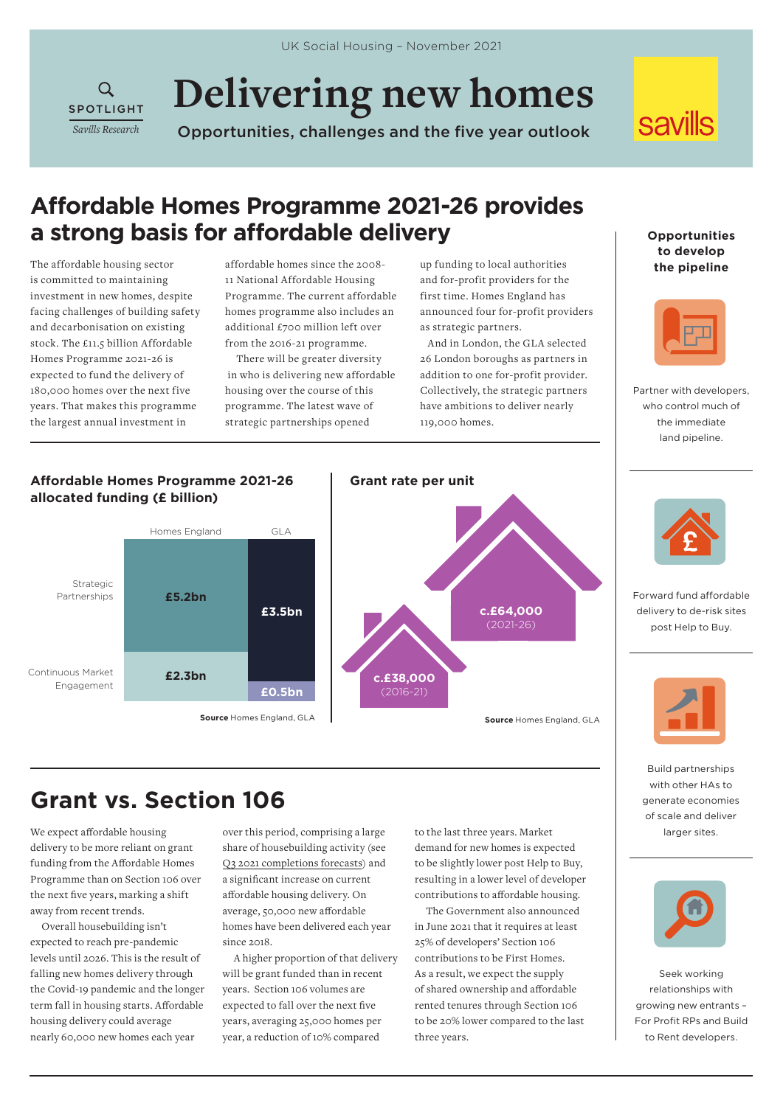**Delivering new homes** 

Opportunities, challenges and the five year outlook

## **savills**

### **Affordable Homes Programme 2021-26 provides a strong basis for affordable delivery**

The affordable housing sector is committed to maintaining investment in new homes, despite facing challenges of building safety and decarbonisation on existing stock. The £11.5 billion Affordable Homes Programme 2021-26 is expected to fund the delivery of 180,000 homes over the next five years. That makes this programme the largest annual investment in

**SPOTLIGHT** *Savills Research*

 $Q$ 

affordable homes since the 2008- 11 National Affordable Housing Programme. The current affordable homes programme also includes an additional £700 million left over from the 2016-21 programme.

There will be greater diversity in who is delivering new affordable housing over the course of this programme. The latest wave of strategic partnerships opened

up funding to local authorities and for-profit providers for the first time. Homes England has announced four for-profit providers as strategic partners.

 And in London, the GLA selected 26 London boroughs as partners in addition to one for-profit provider. Collectively, the strategic partners have ambitions to deliver nearly 119,000 homes.

**Opportunities to develop the pipeline**



Partner with developers, who control much of the immediate land pipeline.



# **Grant vs. Section 106**

We expect affordable housing delivery to be more reliant on grant funding from the Affordable Homes Programme than on Section 106 over the next five years, marking a shift away from recent trends.

Overall housebuilding isn't expected to reach pre-pandemic levels until 2026. This is the result of falling new homes delivery through the Covid-19 pandemic and the longer term fall in housing starts. Affordable housing delivery could average nearly 60,000 new homes each year

over this period, comprising a large share of housebuilding activity (see [Q3 2021 completions forecasts](https://www.savills.co.uk/research_articles/229130/320999-0)) and a significant increase on current affordable housing delivery. On average, 50,000 new affordable homes have been delivered each year  $since 2018$ 

A higher proportion of that delivery will be grant funded than in recent years. Section 106 volumes are expected to fall over the next five years, averaging 25,000 homes per year, a reduction of 10% compared

to the last three years. Market demand for new homes is expected to be slightly lower post Help to Buy, resulting in a lower level of developer contributions to affordable housing.

The Government also announced in June 2021 that it requires at least 25% of developers' Section 106 contributions to be First Homes. As a result, we expect the supply of shared ownership and affordable rented tenures through Section 106 to be 20% lower compared to the last three years.



Forward fund affordable delivery to de-risk sites post Help to Buy.



Build partnerships with other HAs to generate economies of scale and deliver larger sites.



Seek working relationships with growing new entrants – For Profit RPs and Build to Rent developers.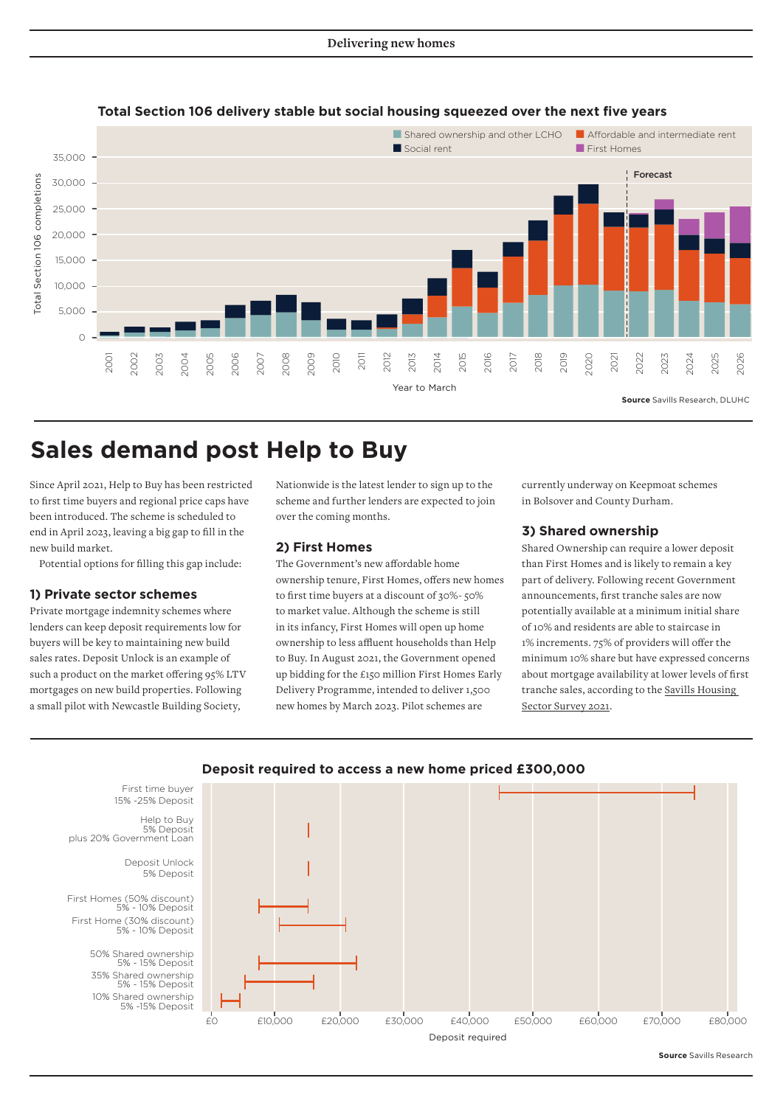

### **Total Section 106 delivery stable but social housing squeezed over the next five years**

### **Sales demand post Help to Buy**

Since April 2021, Help to Buy has been restricted to first time buyers and regional price caps have been introduced. The scheme is scheduled to end in April 2023, leaving a big gap to fill in the new build market.

Potential options for filling this gap include:

### **1) Private sector schemes**

Private mortgage indemnity schemes where lenders can keep deposit requirements low for buyers will be key to maintaining new build sales rates. Deposit Unlock is an example of such a product on the market offering 95% LTV mortgages on new build properties. Following a small pilot with Newcastle Building Society,

Nationwide is the latest lender to sign up to the scheme and further lenders are expected to join over the coming months.

### **2) First Homes**

The Government's new affordable home ownership tenure, First Homes, offers new homes to first time buyers at a discount of 30%- 50% to market value. Although the scheme is still in its infancy, First Homes will open up home ownership to less affluent households than Help to Buy. In August 2021, the Government opened up bidding for the £150 million First Homes Early Delivery Programme, intended to deliver 1,500 new homes by March 2023. Pilot schemes are

currently underway on Keepmoat schemes in Bolsover and County Durham.

### **3) Shared ownership**

Shared Ownership can require a lower deposit than First Homes and is likely to remain a key part of delivery. Following recent Government announcements, first tranche sales are now potentially available at a minimum initial share of 10% and residents are able to staircase in 1% increments. 75% of providers will offer the minimum 10% share but have expressed concerns about mortgage availability at lower levels of first tranche sales, according to the [Savills Housing](https://www.insidehousing.co.uk/news/news/more-than-one-in-six-social-homes-uneconomical-to-upgrade-to-net-zero-research-finds-72443)  [Sector Survey 2021.](https://www.insidehousing.co.uk/news/news/more-than-one-in-six-social-homes-uneconomical-to-upgrade-to-net-zero-research-finds-72443)



### **Deposit required to access a new home priced £300,000**

**Source** Savills Research